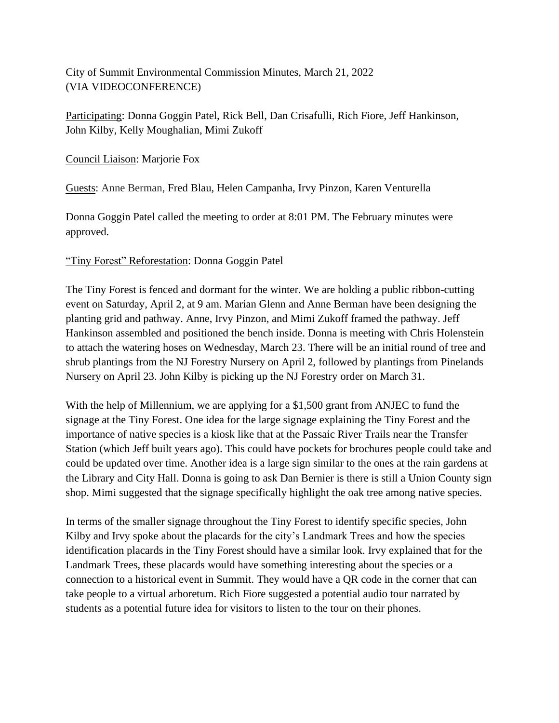City of Summit Environmental Commission Minutes, March 21, 2022 (VIA VIDEOCONFERENCE)

Participating: Donna Goggin Patel, Rick Bell, Dan Crisafulli, Rich Fiore, Jeff Hankinson, John Kilby, Kelly Moughalian, Mimi Zukoff

Council Liaison: Marjorie Fox

Guests: Anne Berman, Fred Blau, Helen Campanha, Irvy Pinzon, Karen Venturella

Donna Goggin Patel called the meeting to order at 8:01 PM. The February minutes were approved.

### "Tiny Forest" Reforestation: Donna Goggin Patel

The Tiny Forest is fenced and dormant for the winter. We are holding a public ribbon-cutting event on Saturday, April 2, at 9 am. Marian Glenn and Anne Berman have been designing the planting grid and pathway. Anne, Irvy Pinzon, and Mimi Zukoff framed the pathway. Jeff Hankinson assembled and positioned the bench inside. Donna is meeting with Chris Holenstein to attach the watering hoses on Wednesday, March 23. There will be an initial round of tree and shrub plantings from the NJ Forestry Nursery on April 2, followed by plantings from Pinelands Nursery on April 23. John Kilby is picking up the NJ Forestry order on March 31.

With the help of Millennium, we are applying for a \$1,500 grant from ANJEC to fund the signage at the Tiny Forest. One idea for the large signage explaining the Tiny Forest and the importance of native species is a kiosk like that at the Passaic River Trails near the Transfer Station (which Jeff built years ago). This could have pockets for brochures people could take and could be updated over time. Another idea is a large sign similar to the ones at the rain gardens at the Library and City Hall. Donna is going to ask Dan Bernier is there is still a Union County sign shop. Mimi suggested that the signage specifically highlight the oak tree among native species.

In terms of the smaller signage throughout the Tiny Forest to identify specific species, John Kilby and Irvy spoke about the placards for the city's Landmark Trees and how the species identification placards in the Tiny Forest should have a similar look. Irvy explained that for the Landmark Trees, these placards would have something interesting about the species or a connection to a historical event in Summit. They would have a QR code in the corner that can take people to a virtual arboretum. Rich Fiore suggested a potential audio tour narrated by students as a potential future idea for visitors to listen to the tour on their phones.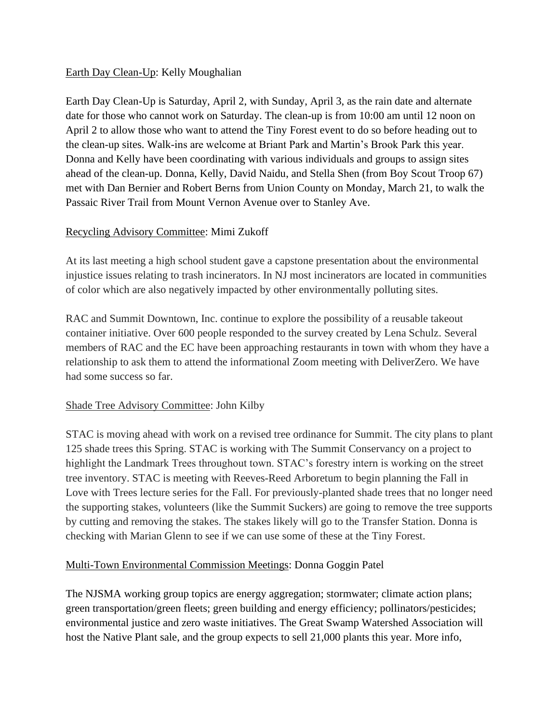### Earth Day Clean-Up: Kelly Moughalian

Earth Day Clean-Up is Saturday, April 2, with Sunday, April 3, as the rain date and alternate date for those who cannot work on Saturday. The clean-up is from 10:00 am until 12 noon on April 2 to allow those who want to attend the Tiny Forest event to do so before heading out to the clean-up sites. Walk-ins are welcome at Briant Park and Martin's Brook Park this year. Donna and Kelly have been coordinating with various individuals and groups to assign sites ahead of the clean-up. Donna, Kelly, David Naidu, and Stella Shen (from Boy Scout Troop 67) met with Dan Bernier and Robert Berns from Union County on Monday, March 21, to walk the Passaic River Trail from Mount Vernon Avenue over to Stanley Ave.

## Recycling Advisory Committee: Mimi Zukoff

At its last meeting a high school student gave a capstone presentation about the environmental injustice issues relating to trash incinerators. In NJ most incinerators are located in communities of color which are also negatively impacted by other environmentally polluting sites.

RAC and Summit Downtown, Inc. continue to explore the possibility of a reusable takeout container initiative. Over 600 people responded to the survey created by Lena Schulz. Several members of RAC and the EC have been approaching restaurants in town with whom they have a relationship to ask them to attend the informational Zoom meeting with DeliverZero. We have had some success so far.

# Shade Tree Advisory Committee: John Kilby

STAC is moving ahead with work on a revised tree ordinance for Summit. The city plans to plant 125 shade trees this Spring. STAC is working with The Summit Conservancy on a project to highlight the Landmark Trees throughout town. STAC's forestry intern is working on the street tree inventory. STAC is meeting with Reeves-Reed Arboretum to begin planning the Fall in Love with Trees lecture series for the Fall. For previously-planted shade trees that no longer need the supporting stakes, volunteers (like the Summit Suckers) are going to remove the tree supports by cutting and removing the stakes. The stakes likely will go to the Transfer Station. Donna is checking with Marian Glenn to see if we can use some of these at the Tiny Forest.

### Multi-Town Environmental Commission Meetings: Donna Goggin Patel

The NJSMA working group topics are energy aggregation; stormwater; climate action plans; green transportation/green fleets; green building and energy efficiency; pollinators/pesticides; environmental justice and zero waste initiatives. The Great Swamp Watershed Association will host the Native Plant sale, and the group expects to sell 21,000 plants this year. More info,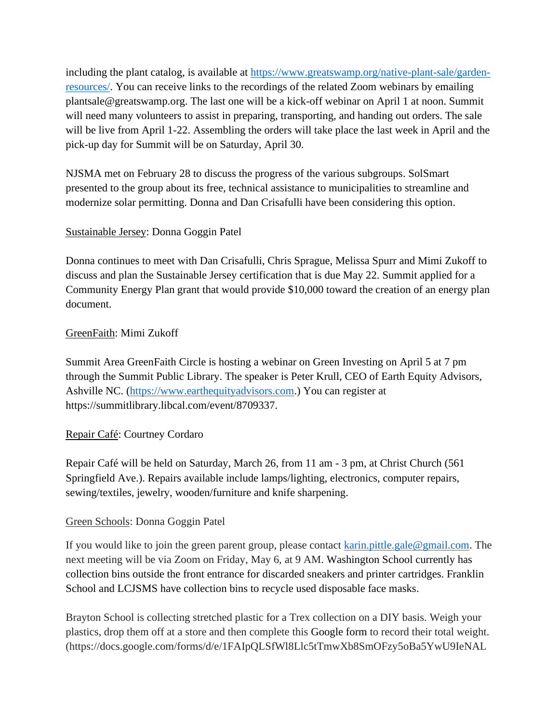including the plant catalog, is available at [https://www.greatswamp.org/native-plant-sale/garden](https://www.greatswamp.org/native-plant-sale/garden-resources/)[resources/.](https://www.greatswamp.org/native-plant-sale/garden-resources/) You can receive links to the recordings of the related Zoom webinars by emailing plantsale@greatswamp.org. The last one will be a kick-off webinar on April 1 at noon. Summit will need many volunteers to assist in preparing, transporting, and handing out orders. The sale will be live from April 1-22. Assembling the orders will take place the last week in April and the pick-up day for Summit will be on Saturday, April 30.

NJSMA met on February 28 to discuss the progress of the various subgroups. SolSmart presented to the group about its free, technical assistance to municipalities to streamline and modernize solar permitting. Donna and Dan Crisafulli have been considering this option.

### Sustainable Jersey: Donna Goggin Patel

Donna continues to meet with Dan Crisafulli, Chris Sprague, Melissa Spurr and Mimi Zukoff to discuss and plan the Sustainable Jersey certification that is due May 22. Summit applied for a Community Energy Plan grant that would provide \$10,000 toward the creation of an energy plan document.

### GreenFaith: Mimi Zukoff

Summit Area GreenFaith Circle is hosting a webinar on Green Investing on April 5 at 7 pm through the Summit Public Library. The speaker is Peter Krull, CEO of Earth Equity Advisors, Ashville NC. [\(https://www.earthequityadvisors.com.](https://www.earthequityadvisors.com/)) You can register at https://summitlibrary.libcal.com/event/8709337.

### Repair Café: Courtney Cordaro

Repair Café will be held on Saturday, March 26, from 11 am - 3 pm, at Christ Church (561 Springfield Ave.). Repairs available include lamps/lighting, electronics, computer repairs, sewing/textiles, jewelry, wooden/furniture and knife sharpening.

### Green Schools: Donna Goggin Patel

If you would like to join the green parent group, please contact [karin.pittle.gale@gmail.com.](mailto:karin.pittle.gale@gmail.com) The next meeting will be via Zoom on Friday, May 6, at 9 AM. Washington School currently has collection bins outside the front entrance for discarded sneakers and printer cartridges. Franklin School and LCJSMS have collection bins to recycle used disposable face masks.

Brayton School is collecting stretched plastic for a Trex collection on a DIY basis. Weigh your plastics, drop them off at a store and then complete this Google form to record their total weight. (https://docs.google.com/forms/d/e/1FAIpQLSfWl8Llc5tTmwXb8SmOFzy5oBa5YwU9IeNAL